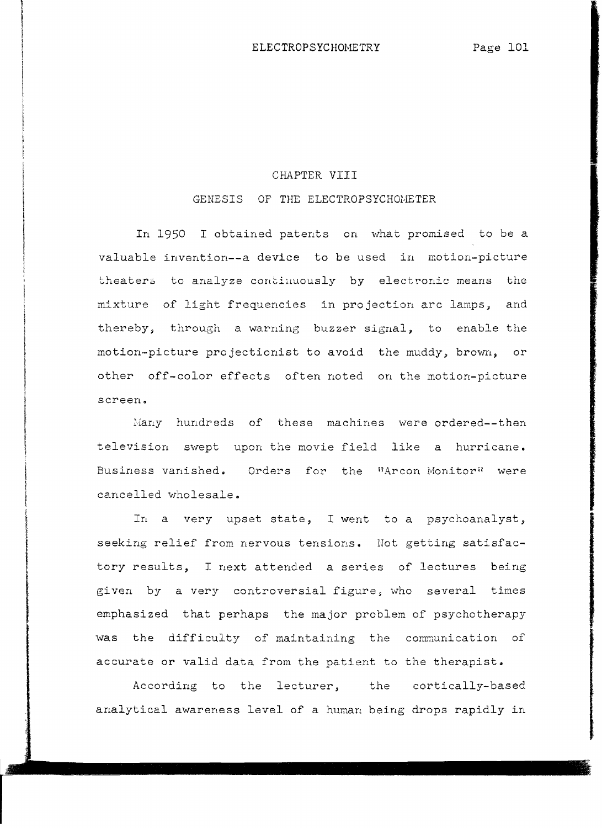I I

I

In the parameter and the party of the contract of the contract of the contract of the contract of the contract of the contract of the contract of the contract of the contract of the contract of the contract of the contract i<br>I<br>I !

# CHAPTER VIII

# GENESIS OF THE ELECTROPSYCHOMETER

In 1950 I obtained patents on what promised to be a valuable invention--a device to be used in motion-picture theaters to analyze continuously by electronic means the mixture of light frequencies in projection arc lamps, and thereby, through a warning buzzer signal, to enable the motion-picture projectionist to avoid the muddy, brown, or other off-color effects often noted on the motion-picture screen.

Many hundreds of these machines were ordered--then television swept upon the movie field like a hurricane. Business vanished. Orders for the "Arcon Monitor" were cancelled wholesale.

In a very upset state, I went to a psychoanalyst, seeking relief from nervous tensions. Not getting satisfactory results, I next attended a series of lectures being given by a very controversial figure, who several times emphasized that perhaps the major problem of psychotherapy was the difficulty of maintaining the communication of accurate or valid data from the patient to the therapist.

According to the lecturer, the cortically-based analytical awareness level of a human being drops rapidly in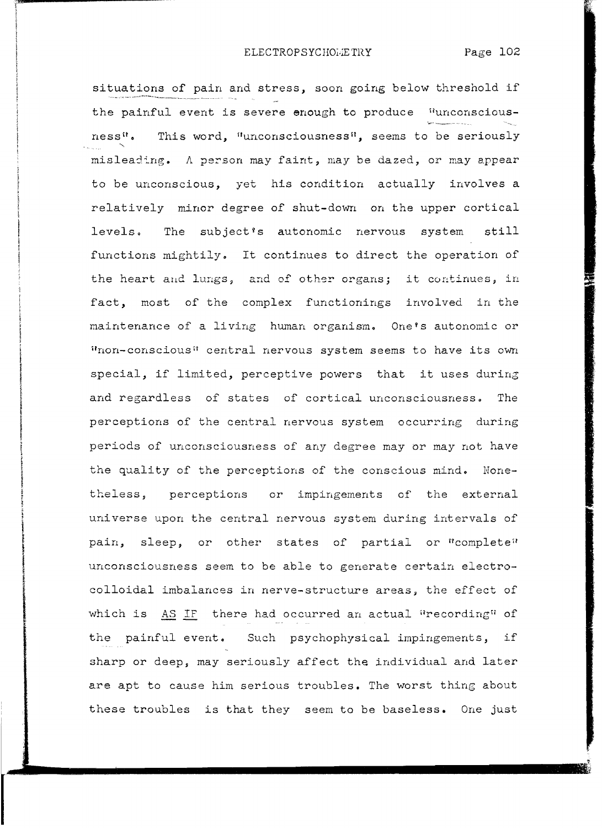situations of pain and stress, soon going below threshold if the painful event is severe enough to produce "unconsciousness". This word, "unconsciousness", seems to be seriously " mislead-:'ng. A pe:::,son may faint, may be dazed, or may appear to be unconscious, yet his condition actually involves a relatively minor degree of shut-down on the upper cortical levels. The subject's autonomic nervous system still functions mightily. It continues to direct the operation of the heart and lungs, and of other organs; it continues, in fact, most of the complex functionings involved in the maintenance of a living human organism. One's autonomic or "non-conscious" central nervous system seems to have its own special, if limited, perceptive powers that it uses during and regardless of states of cortical unconsciousness. The perceptions of the central nervous system occurring during periods of unconsciousness of any degree mayor may not have the quality of the perceptions of the conscious mind. Nonetheless, perceptions or impingements of the external universe upon the central nervous system during intervals of pain, sleep, or other states of partial or "complete" unconsciousness seem to be able to generate certain electrocolloidal imbalances in nerve-structure areas, the effect of which is AS IF there had occurred an actual "recording" of the painful event. Such psychophysical impingements, if sharp or deep, may seriously affect the individual and later are apt to cause him serious troubles. The worst thing about these troubles is that they seem to be baseless. One just

J

**International**  $\frac{1}{2}$ 

**Community** 

Internet (Sakchapperberg)<br>Internet (Sakchapperberg)

**INSTRUCTION SECTION AND INSTRUCTION INTO A PRODUCT SOLUTION** 

•

distant and the Indiana and the i<br>I

teganlar<br>Haben

**International Control Control**<br>International Control Control Control Control Control Control Control Control Control Control Control Control Co istoriana altre i<br>internationalistical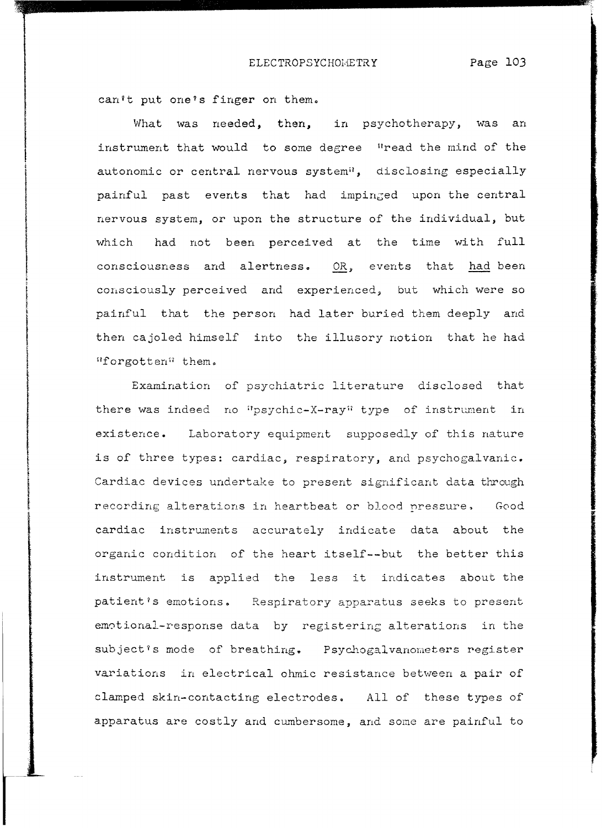can't put one's finger on them.

I<br>Professor - Professor - Professor - Professor - Professor - Professor - Professor<br>- Professor - Professor - Professor - Professor - Professor - Professor - Professor - Professor - Professor -

What was needed, then, in psychotherapy, was an instrument that would to some degree "read the mind of the autonomic or central nervous system<sup>il</sup>, disclosing especially painful past events that had impinged upon the central nervous system, or upon the structure of the individual, but which had not been perceived at the time with full consciousness and alertness. OR, events that had been consciously perceived and experienced, but which were so painful that the person had later buried them deeply and then cajoled himself into the illusory notion that he had IIforgotten\1 them.

Examination of psychiatric literature disclosed that there was indeed no "psychic-X-ray" type of instrument in existence. Laboratory equipment supposedly of this nature is of three types: cardiac, respiratory, and psychogalvanic. Cardiac devices undertake to present significant data through recording alterations in heartbeat or blood nressure, Good cardiac instruments accurately indicate data about the organic condition of the heart itself--but the better this instrument is applied the less it indicates about the patient?s emotions. Respiratory apparatus seeks to present emotional-response data by registering alterations in the subject?s mode of breathing. Psychogalvanometers register variations in electrical ohmic resistance between a pair of clamped skin-contacting electrodes. All of these types of apparatus are costly and cumbersome, and *some* are painful to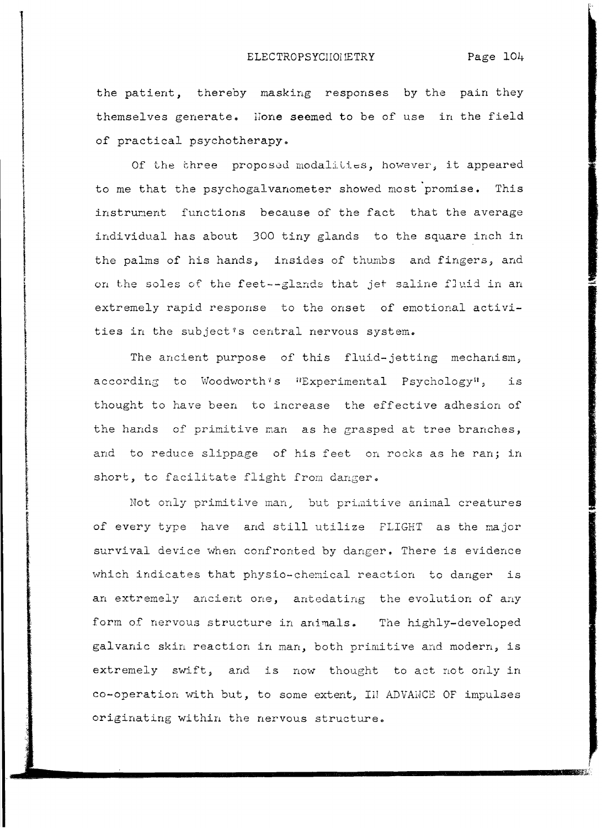the patient, thereby masking responses by the pain they themselves generate. Hone seemed to be of use in the field of practical psychotherapy.

I

In the Community Community of Lines.<br>In the Community of Lines.

I

I

I

Of the three proposed modalities, however, it appeared to me that the psychogalvanometer showed most promise. This instrunent functions because of the fact that the average individual has about 300 tiny glands to the square inch in the palms of his hands, insides of thumbs and fingers, and on the soles of the feet--glands that jet saline fluid in an extremely rapid response to the onset of emotional activities in the subject's central nervous system.

The ancient purpose of this fluid-jetting mechanism, according to Woodworth's "Experimental Psychology", is thought to have been to increase the effective adhesion of the hands of primitive man as he grasped at tree branches, and to reduce slippage of his feet on rocks as he ran; in short, to facilitate flight from danger.

Not only primitive man, but primitive animal creatures of every type have and still utilize FLIGHT as the major survival device when confronted by danger. There is evidence which indicates that physio-chemical reaction to danger is an extremely ancient one, antedating the evolution of any form of nervous structure in animals. The highly-developed galvanic skin reaction in man, both primitive and modern, is extremely swift, and is now thought to act not only in co-operation with but, to some extent, III ADVAHCE OF impulses originating within the nervous structure.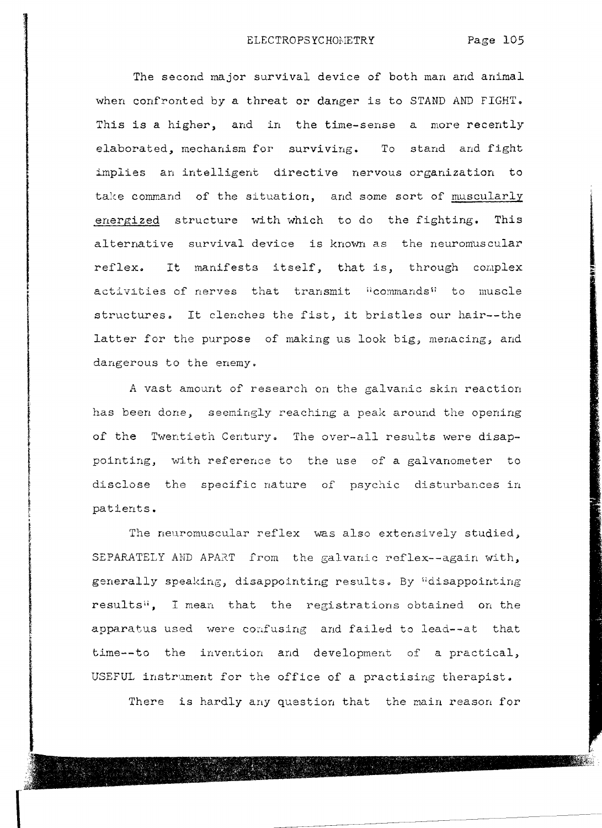The second major survival device of both man and animal when confronted by a threat **or** danger is to STAND AND FIGHT. This is a higher, and in the time-sense a more recently elaborated, mechanism for surviving. To stand and fight implies an intelligent directive nervous organization to take command of the situation, and some sort of muscularly energized structure with which to do the fighting. This alternative survival device is known as the neuromuscular reflex. It manifests itself, that is, through complex activities of nerves that transmit "commands" to muscle structures. It clenches the fist, it bristles our hair--the latter for the purpose of making us look big, menacing, and dangerous to the enemy.

A vast amount of research on the galvanic skin reaction has been done, seemingly reaching a peak around the opening of the Twentieth Century. The over-all results were disappointing, with reference to the use of a galvanometer to disclose the specific nature of psychic disturbances in patients.

The neuromuscular reflex was also extensively studied, SEPARATELY AND APART from the galvanic reflex--again with, generally speaking, disappointing results. By "disappointing results<sup>1</sup>, I mean that the registrations obtained on the apparatus used were confusing and failed to lead--at that time--to the invention and development of a practical.) USEFUL instrument for the office of a practising therapist.

There is hardly any question that the main reason for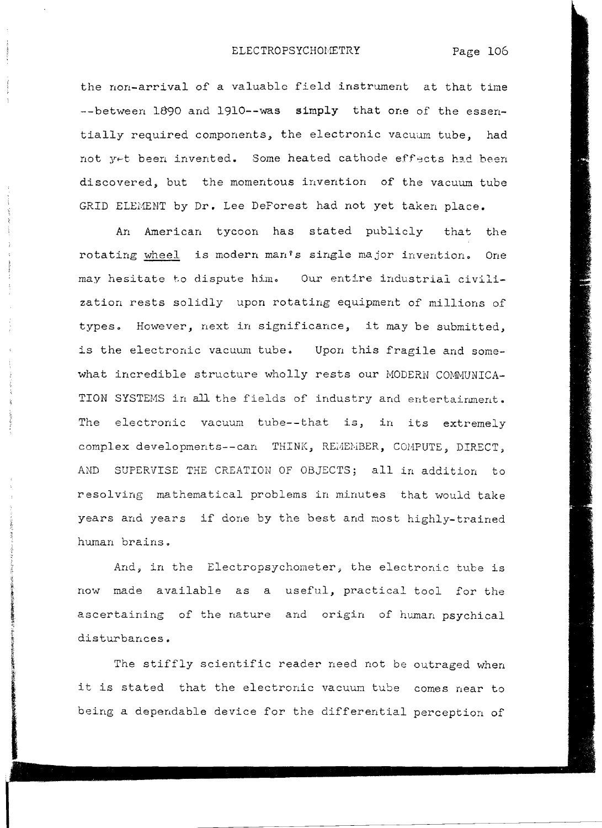the non-arrival of a valuable field instrwnent at that time --between 1890 and 1910--was simply that one of the essentially required components, the electronic vacuum tube, had not y~t been invented. Some heated cathode effects had been discovered, but the momentous invention of the vacuum tube GRID ELEMENT by Dr. Lee DeForest had not yet taken place.

An American tycoon has stated publicly that the rotating wheel is modern man's single major invention. One may hesitate to dispute him. Our entire industrial civilization rests solidly upon rotating equipment of millions of types. However, next in significance, it may be submitted, is the electronic vacuum tube. Upon this fragile and somewhat incredible structure wholly rests our MODERN COMMUNICA-TION SYSTEMS in all the fields of industry and entertainment. The electronic vacuum tube--that is, in its extremely complex developments--can THINK, REMEMBER, COMPUTE, DIRECT, AND SUPERVISE THE CREATION OF OBJECTS; all in addition to resolving mathematical problems in minutes that would take years and years if done by the best and most highly-trained human brains.

And, in the Electropsychometer, the electronic tube is now made available as a useful, practical tool for the ascertaining of the nature and origin of human psychical disturbances.

The stiffly scientific reader need not be outraged when it is stated that the electronic vacuum tube comes near to being a dependable device for the differential perception of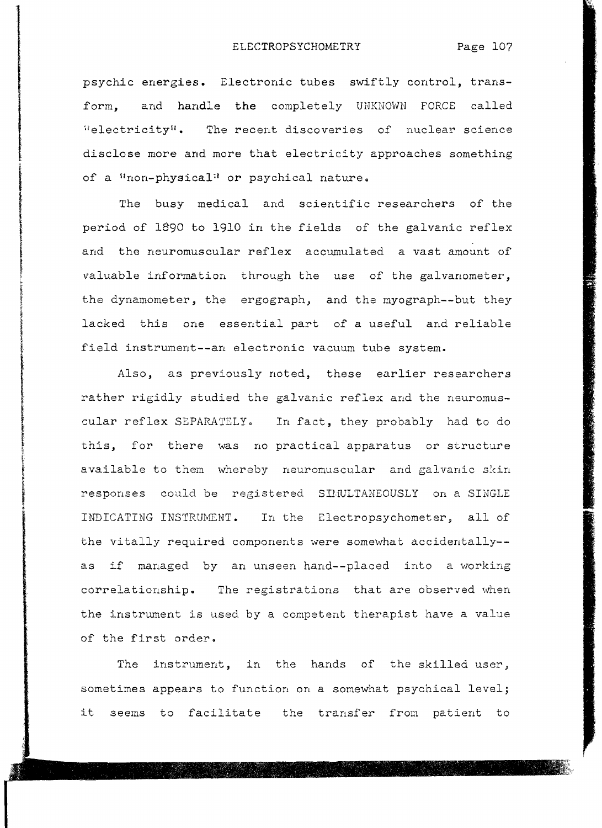psychic energies. Electronic tubes swiftly control, transform, and handle the completely UNKNOWN FORCE called  $"electricity"$ . The recent discoveries of nuclear science disclose more and more that electricity approaches something of a "non-physical" or psychical nature.

The busy medical and scientific researchers of the period of 1\$90 to 1910 in the fields of the galvanic reflex and the neuromuscular reflex accumulated a vast amount of valuable information through the use of the galvanometer, the dynamometer, the ergograph, and the myograph--but they lacked this one essential part of a useful and reliable field instrument--an electronic vacuum tube system.

**WARE INN AUGUSTS STATE** 

in Colombia (1985)<br>Lista de Carto de Colombia

またのでは、「そのことのことを、このことを、このことを、このことを、このことを、このことを、このことを、このことを、このことを、このことを、このことを、このことを、このことを、このことを、このことを、

Also, as previously noted, these earlier researchers rather rigidly studied the galvanic reflex and the neuromuscular reflex SEPARATELY. In fact, they probably had to do this, for there was no practical apparatus or structure available to them whereby neuromuscular and galvanic skin responses could be registered SHWLTANEOUSLY on a SINGLE INDICATING INSTRUMENT. In the Electropsychometer, all of the vitally required components were somewhat accidentally as if managed by an unseen hand--placed into a working correlationship. The registrations that are observed when the instrument is used by a competent therapist have a value of the first order.

The instrument, in the hands of the skilled user, sometimes appears to function on a somewhat psychical level; it seems to facilitate the transfer from patient to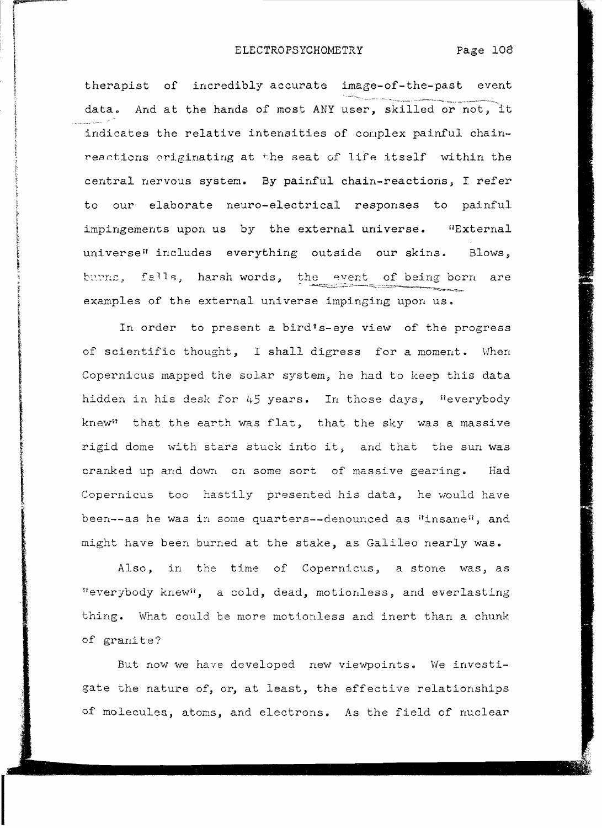i<br>International<br>International

...-----\_.\_\_.

therapist of incredibly accurate image-of-the-past event data. And at the hands of most ANY user, skilled or not, it indicates the relative intensities of complex painful chainreactions originating at the seat of life itself within the central nervous system. By painful chain-reactions, I refer to our elaborate neuro-electrical responses to painful impingements upon us by the external universe. "External universe" includes everything outside our skins. Blows, burns, falls, harsh words, the event of being born are examples of the external universe impinging upon us.

In order to present a bird's-eye view of the progress of scientific thought, I shall digress for a moment. When Copernicus mapped the solar system, he had to keep this data hidden in his desk for 45 years. In those days, "everybody knew" that the earth was flat, that the sky was a massive rigid dome with stars stuck into it, and that the sun was cranked up and down on some sort of massive gearing. Had Copernicus too hastily presented his data, he would have been--as he was in some quarters--denounced as "insane", and might have been burned at the stake, as Galileo nearly was.

Also, in the time of Copernicus, a stone was, as "everybody knew", a cold, dead, motionless, and everlasting thing. What could be more motionless and inert than a chunk of granite?

But now we have developed new viewpoints. We investigate the nature of, or, at least, the effective relationships of molecules, atoms, and electrons. As the field of nuclear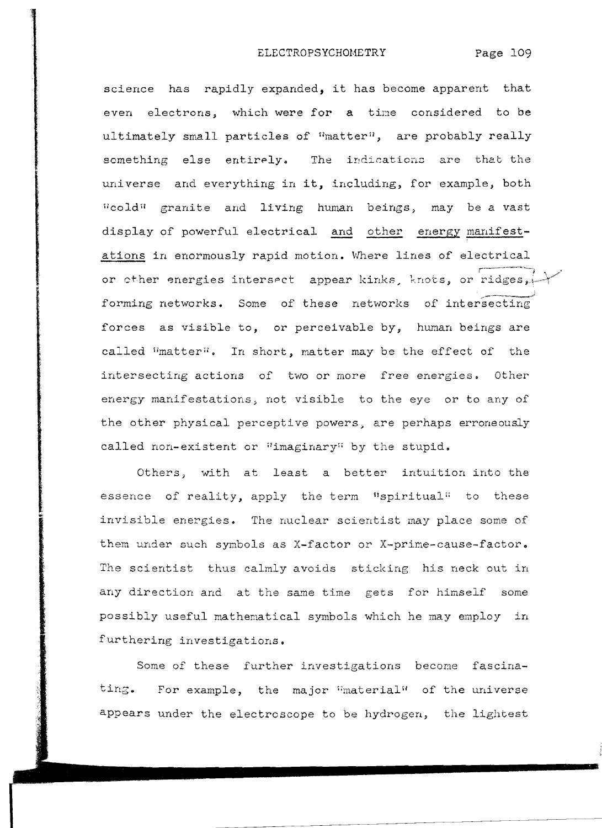science has rapidly expanded, it has become apparent that even electrons, which were for a time considered to be ultimately small particles of "matter", are probably really something else entirely. The indications are that the universe and everything in it, including, for example, both "cold" granite and living human beings, may be a vast display of powerful electrical and other energy manifestations in enormously rapid motion. Where lines of electrical or cther energies intersect appear kinks, knots, or ridges,  $\rightarrow$ forming networks. Some of these networks of intersecting forces as visible to, or perceivable by, human beings are called limatter". In short, matter may be the effect of the intersecting actions of two or more free energies. Other energy manifestations, not visible to the eye or to any of the other physical perceptive powers, are perhaps erroneously called non-existent or "imaginary" by the stupid.

Others, with at least a better intuition into the essence of reality, apply the term "spiritual" to these invisible energies. The nuclear scientist may place some of them under such symbols as X-factor or X-prime-cause-factor. The scientist thus calmly avoids sticking his neck out in any direction and at the same time gets for himself some possibly useful mathematical symbols which he may employ in furthering investigations.

Some of these further investigations become fascinating. For example, the major  $\lim_{n \to \infty}$  of the universe appears under the electroscope to be hydrogen, the lightest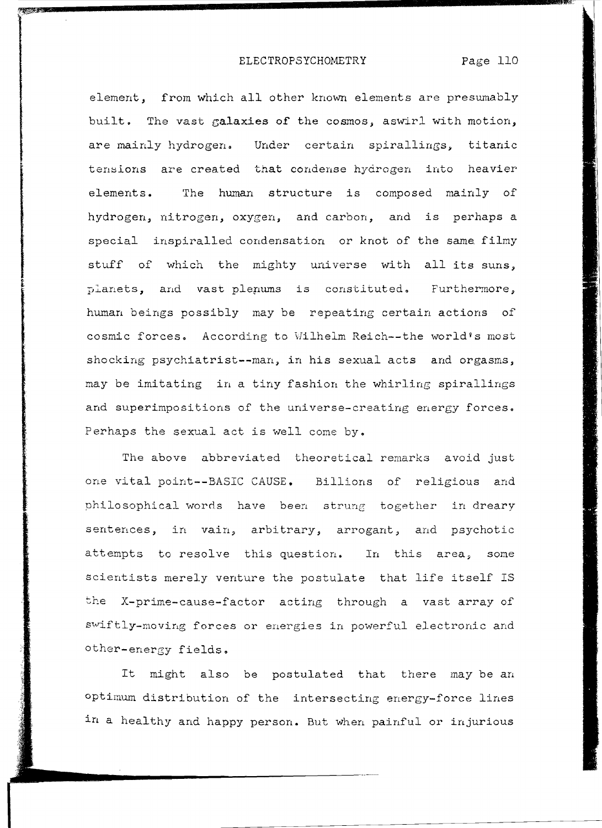element, from which all other known elements are presumably built. The vast galaxies of the cosmos, aswirl with motion, are mainly hydrogen. Under certain spirallings, titanic tensions are created that condense hydrogen into heavier elements. The human structure is composed mainly of hydrogen, nitrogen, oxygen, and carbon, and is perhaps a special inspiralled condensation or knot of the same filmy stuff of which the mighty universe with all its suns, planets, and vast plenums is constituted. Furthermore, human beings possibly may be repeating certain actions of cosmic forces. According to Wilhelm Reich--the world's most shocking psychiatrist--man, in his sexual acts and orgasms, may be imitating in a tiny fashion the whirling spirallings and superimpositions of the universe-creating energy forces. Perhaps the sexual act is well come by.

The above abbreviated theoretical remarks avoid just one vital point--BASIC CAUSE. Billions of religious and nhilosophical words have been strung together in dreary sentences, in vain, arbitrary, arrogant, and psychotic attempts to resolve this question. In this area, some scientists merely venture the postulate that life itself IS the X-prime-cause-factor acting through a vast array of swiftly-moving forces or energies in powerful electronic and other-energy fields.

It might also be postulated that there may be an optimum distribution of the intersecting energy-force lines in a healthy and happy person. But when painful or injurious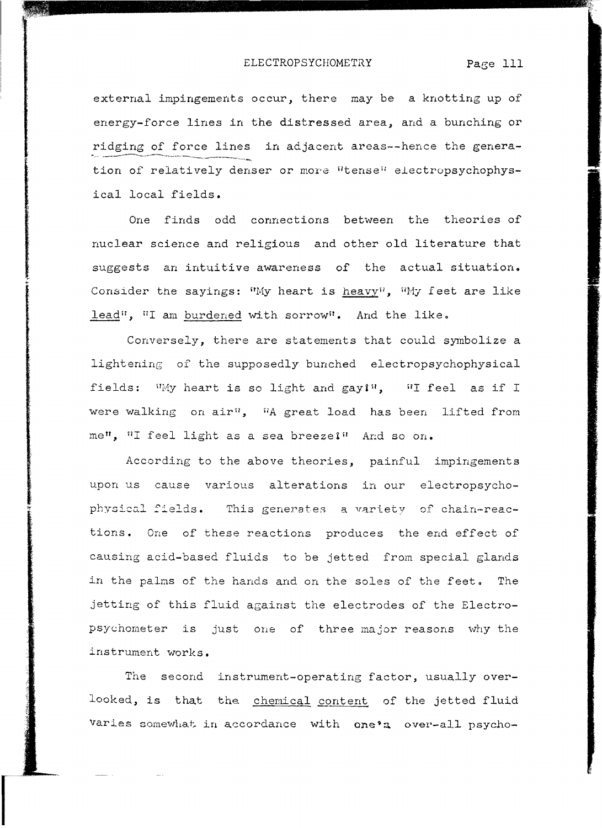external impingements occur, there may be a knotting up of energy-force lines in the distressed area, and a bunching or ridging of force lines in adjacent areas--hence the generation of relatively denser or more "tense" electropsychophysical local fields.

One finds odd connections between the theories of nuclear science and religious and other old literature that suggests an intuitive awareness of the actual situation. Consider the sayings: "My heart is heavy", "My feet are like lead", "I am burdened with sorrow". And the like.

Conversely, there are statements that could symbolize a lightening of the supposedly bunched electropsychophysical fields: Why heart is so light and gayi", "I feel as if I were walking on air<sup>n</sup>, <sup>n</sup>A great load has been lifted from me", "I feel light as a sea breezei" And so on.

According to the above theories, painful impingements upon us cause various alterations in our electropsychophysical fields. This generates a variety of chain-reactions. One of these reactions produces the end effect of causing acid-based fluids to be jetted from special glands in the palms of the hands and on the soles of the feet. The jetting of this fluid against the electrodes of the Electropsychometer is just one of three major reasons why the instrument works.

The second instrument-operating factor, usually overlooked, is that the chemical content of the jetted fluid varies somewhat in accordance with one's over-all psycho-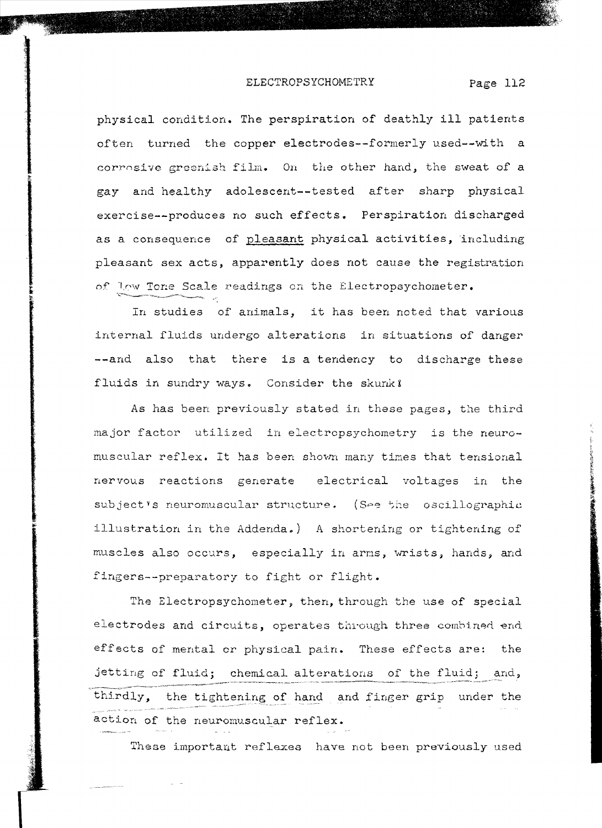physical condition. The perspiration of deathly **ill** patients often turned the copper electrodes--formerly used--with a corrosive greenish film. On the other hand, the sweat of a gay and healthy adolescent--tested after sharp physical exercise--produces no such effects. Perspiration discharged as a consequence of pleasant physical activities, including pleasant sex acts, apparently does not cause the registration

In studies of animals, it has been noted that various internal fluids undergo alterations in situations of danger --and also that there is a tendency to discharge these fluids in sundry ways. Consider the skunk?

of low Tone Scale readings on the Electropsychometer.

As has been previously stated in these pages, the third major factor utilized in electropsychometry is the neuromuscular reflex. It has been shown many times that tensional nervous reactions generate electrical voltages in the subject's neuromuscular structure. (See the oscillographic illustration in the Addenda.) A shortening or tightening of muscles also occurs, especially in arms, wrists, hands, and fingers--preparatory to fight or flight.

The Electropsychometer, then, through the use of special electrodes and circuits, operates through three combined end. effects of mental or physical pain. These effects are: the jetting of fluid; chemical alterations of the fluid; and, thirdly, the tightening of hand and finger grip under the action of the neuromuscular reflex.

These important reflexes have not been previously used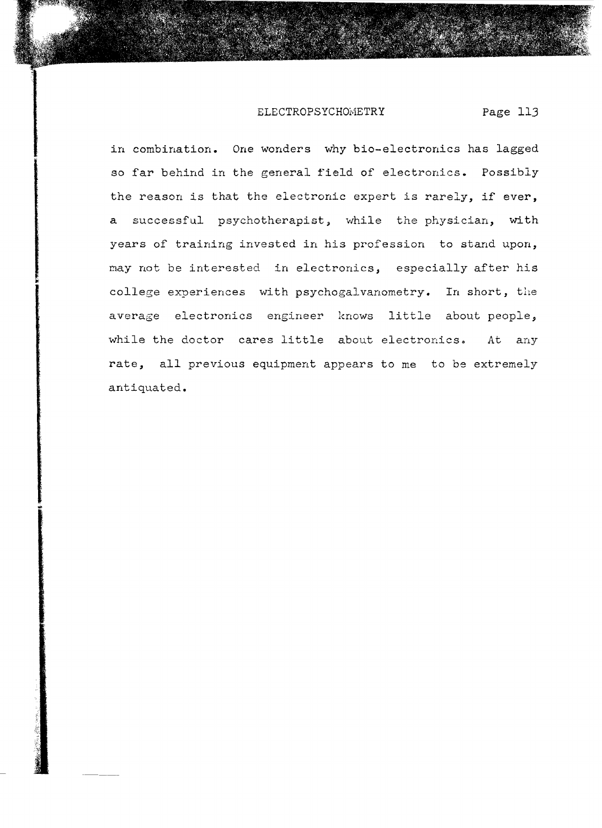in combination. One wonders why bio-electronics has lagged so far behind in the general field of electronics. Possibly the reason is that the electronic expert is rarely, if ever, a successful psychotherapist, while the physician, with years of training invested in his profession to stand upon, may not be interested in electronics, especially after his college experiences with psychogalvanometry. In short, the average electronics engineer knows little about people, while the doctor cares little about electronics. At any rate, all previous equipment appears to me to be extremely antiquated.